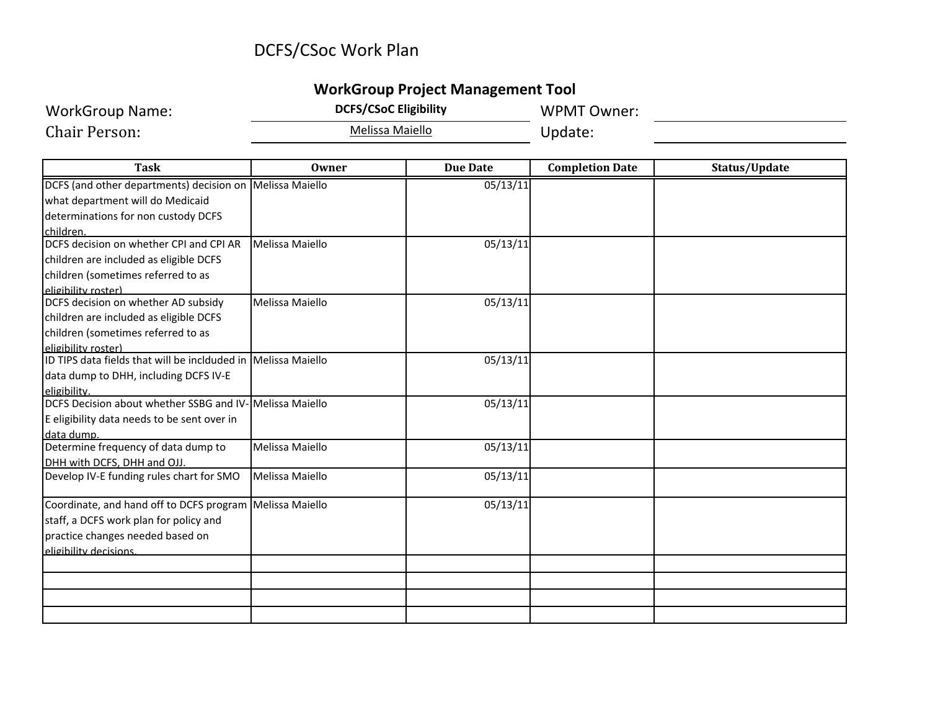## DCFS/CSoc Work Plan

### **WorkGroup Project Management Tool**

WorkGroup Name: **DCFS/CSoC Eligibility** WPMT Owner:

Melissa Maiello **Carlo Vichard Vichard Update:** 

| <b>Task</b>                                                   | <b>Owner</b>    | <b>Due Date</b> | <b>Completion Date</b> | Status/Update |
|---------------------------------------------------------------|-----------------|-----------------|------------------------|---------------|
| DCFS (and other departments) decision on Melissa Maiello      |                 | 05/13/11        |                        |               |
| what department will do Medicaid                              |                 |                 |                        |               |
| determinations for non custody DCFS                           |                 |                 |                        |               |
| children.                                                     |                 |                 |                        |               |
| DCFS decision on whether CPI and CPI AR                       | Melissa Maiello | 05/13/11        |                        |               |
| children are included as eligible DCFS                        |                 |                 |                        |               |
| children (sometimes referred to as                            |                 |                 |                        |               |
| eligibility roster)                                           |                 |                 |                        |               |
| DCFS decision on whether AD subsidy                           | Melissa Maiello | 05/13/11        |                        |               |
| children are included as eligible DCFS                        |                 |                 |                        |               |
| children (sometimes referred to as                            |                 |                 |                        |               |
| eligibility roster)                                           |                 |                 |                        |               |
| ID TIPS data fields that will be inclduded in Melissa Maiello |                 | 05/13/11        |                        |               |
| data dump to DHH, including DCFS IV-E                         |                 |                 |                        |               |
| eligibility.                                                  |                 |                 |                        |               |
| DCFS Decision about whether SSBG and IV-                      | Melissa Maiello | 05/13/11        |                        |               |
| E eligibility data needs to be sent over in                   |                 |                 |                        |               |
| data dump.                                                    |                 |                 |                        |               |
| Determine frequency of data dump to                           | Melissa Maiello | 05/13/11        |                        |               |
| DHH with DCFS, DHH and OJJ.                                   |                 |                 |                        |               |
| Develop IV-E funding rules chart for SMO                      | Melissa Maiello | 05/13/11        |                        |               |
| Coordinate, and hand off to DCFS program   Melissa Maiello    |                 | 05/13/11        |                        |               |
| staff, a DCFS work plan for policy and                        |                 |                 |                        |               |
| practice changes needed based on                              |                 |                 |                        |               |
| eligibility decisions.                                        |                 |                 |                        |               |
|                                                               |                 |                 |                        |               |
|                                                               |                 |                 |                        |               |
|                                                               |                 |                 |                        |               |
|                                                               |                 |                 |                        |               |

Chair Person: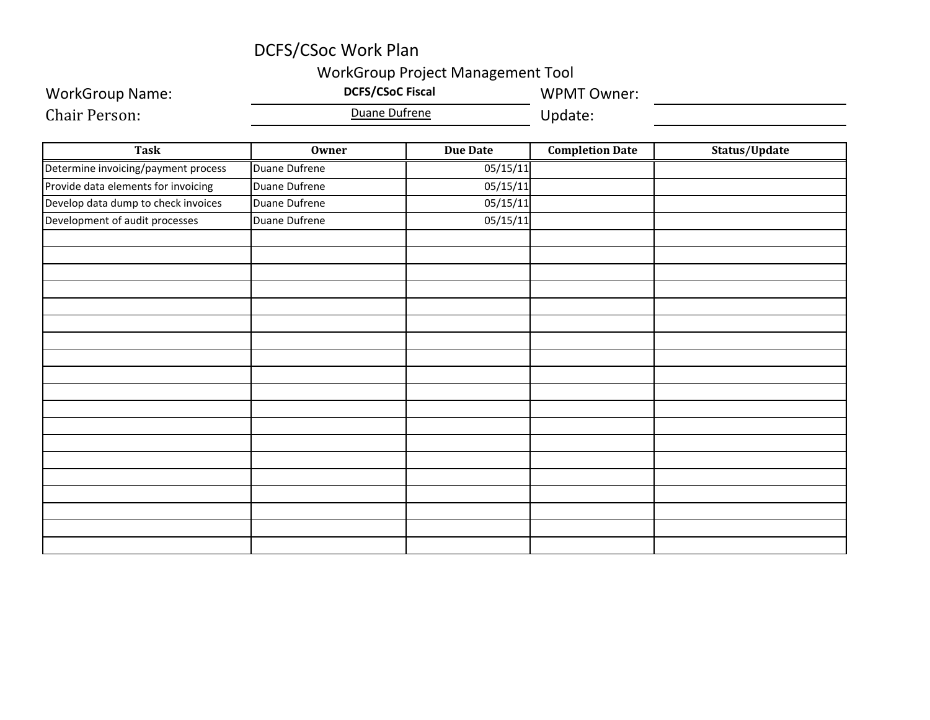## DCFS/CSoc Work Plan

#### WorkGroup Project Management Tool

| <b>WorkGroup Name:</b>              | worksroup indicat management roof<br><b>DCFS/CSoC Fiscal</b><br>Duane Dufrene |                 | <b>WPMT Owner:</b>     |               |
|-------------------------------------|-------------------------------------------------------------------------------|-----------------|------------------------|---------------|
| <b>Chair Person:</b>                |                                                                               |                 | Update:                |               |
| Task                                | <b>Owner</b>                                                                  | <b>Due Date</b> | <b>Completion Date</b> | Status/Update |
| Determine invoicing/payment process | <b>Duane Dufrene</b>                                                          | 05/15/11        |                        |               |
| Provide data elements for invoicing | Duane Dufrene                                                                 | 05/15/11        |                        |               |
| Develop data dump to check invoices | <b>Duane Dufrene</b>                                                          | 05/15/11        |                        |               |
| Development of audit processes      | Duane Dufrene                                                                 | 05/15/11        |                        |               |
|                                     |                                                                               |                 |                        |               |
|                                     |                                                                               |                 |                        |               |
|                                     |                                                                               |                 |                        |               |
|                                     |                                                                               |                 |                        |               |
|                                     |                                                                               |                 |                        |               |
|                                     |                                                                               |                 |                        |               |
|                                     |                                                                               |                 |                        |               |
|                                     |                                                                               |                 |                        |               |
|                                     |                                                                               |                 |                        |               |
|                                     |                                                                               |                 |                        |               |
|                                     |                                                                               |                 |                        |               |
|                                     |                                                                               |                 |                        |               |
|                                     |                                                                               |                 |                        |               |
|                                     |                                                                               |                 |                        |               |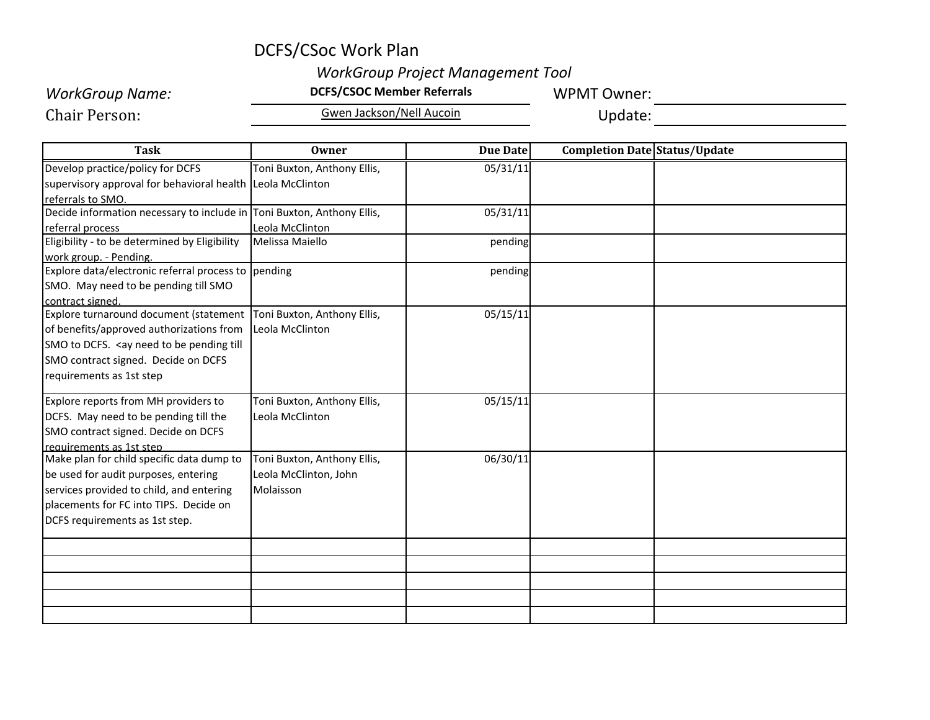## DCFS/CSoc Work Plan

### *WorkGroup Project Management Tool*

# **WorkGroup Name: DCFS/CSOC Member Referrals WPMT Owner:** *MORKGroup Name:*

Chair Person:

Gwen Jackson/Nell Aucoin **Carlo Community** Update:

| Task                                                                                                     | Owner                       | Due Date | Completion Date Status/Update |  |
|----------------------------------------------------------------------------------------------------------|-----------------------------|----------|-------------------------------|--|
| Develop practice/policy for DCFS                                                                         | Toni Buxton, Anthony Ellis, | 05/31/11 |                               |  |
| supervisory approval for behavioral health Leola McClinton                                               |                             |          |                               |  |
| referrals to SMO.                                                                                        |                             |          |                               |  |
| Decide information necessary to include in Toni Buxton, Anthony Ellis,                                   |                             | 05/31/11 |                               |  |
| referral process                                                                                         | Leola McClinton             |          |                               |  |
| Eligibility - to be determined by Eligibility                                                            | Melissa Maiello             | pending  |                               |  |
| work group. - Pending.                                                                                   |                             |          |                               |  |
| Explore data/electronic referral process to pending                                                      |                             | pending  |                               |  |
| SMO. May need to be pending till SMO                                                                     |                             |          |                               |  |
| contract signed.                                                                                         |                             |          |                               |  |
| Explore turnaround document (statement                                                                   | Toni Buxton, Anthony Ellis, | 05/15/11 |                               |  |
| of benefits/approved authorizations from                                                                 | Leola McClinton             |          |                               |  |
| SMO to DCFS. <ay be="" need="" pending="" td="" till<="" to=""><td></td><td></td><td></td><td></td></ay> |                             |          |                               |  |
| SMO contract signed. Decide on DCFS                                                                      |                             |          |                               |  |
| requirements as 1st step                                                                                 |                             |          |                               |  |
| Explore reports from MH providers to                                                                     | Toni Buxton, Anthony Ellis, | 05/15/11 |                               |  |
| DCFS. May need to be pending till the                                                                    | Leola McClinton             |          |                               |  |
| SMO contract signed. Decide on DCFS                                                                      |                             |          |                               |  |
| requirements as 1st step                                                                                 |                             |          |                               |  |
| Make plan for child specific data dump to                                                                | Toni Buxton, Anthony Ellis, | 06/30/11 |                               |  |
| be used for audit purposes, entering                                                                     | Leola McClinton, John       |          |                               |  |
| services provided to child, and entering                                                                 | Molaisson                   |          |                               |  |
| placements for FC into TIPS. Decide on                                                                   |                             |          |                               |  |
| DCFS requirements as 1st step.                                                                           |                             |          |                               |  |
|                                                                                                          |                             |          |                               |  |
|                                                                                                          |                             |          |                               |  |
|                                                                                                          |                             |          |                               |  |
|                                                                                                          |                             |          |                               |  |
|                                                                                                          |                             |          |                               |  |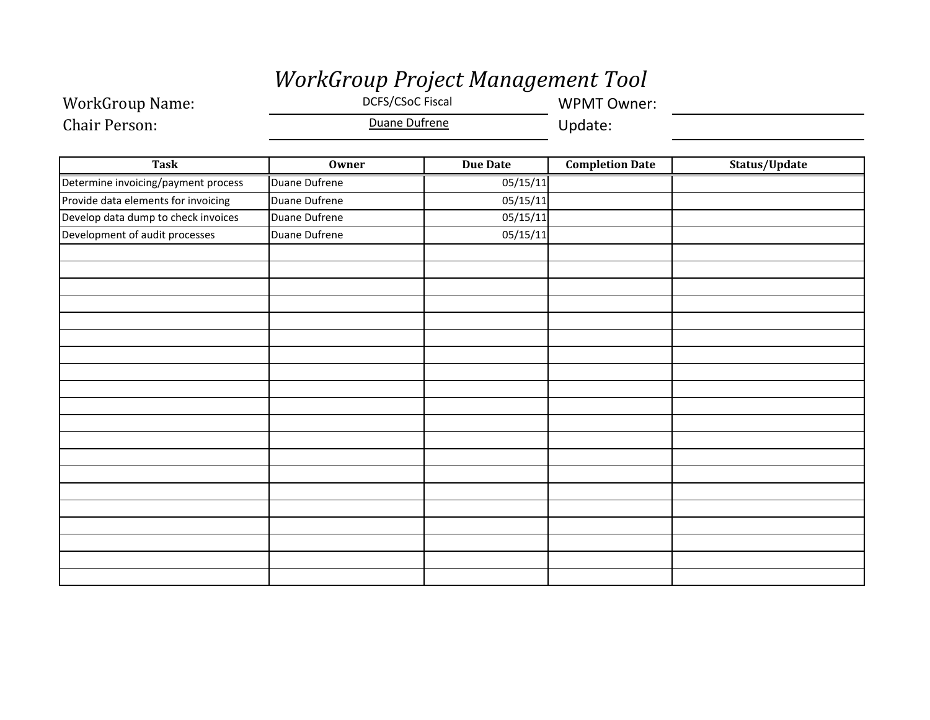# *WorkGroup Project Management Tool*

WorkGroup Name: DCFS/CSoC Fiscal WPMT Owner: Chair Person:Duane Dufrene **Update:** 

| Task                                | <b>Owner</b>  | <b>Due Date</b> | <b>Completion Date</b> | Status/Update |
|-------------------------------------|---------------|-----------------|------------------------|---------------|
| Determine invoicing/payment process | Duane Dufrene | 05/15/11        |                        |               |
| Provide data elements for invoicing | Duane Dufrene | 05/15/11        |                        |               |
| Develop data dump to check invoices | Duane Dufrene | 05/15/11        |                        |               |
| Development of audit processes      | Duane Dufrene | 05/15/11        |                        |               |
|                                     |               |                 |                        |               |
|                                     |               |                 |                        |               |
|                                     |               |                 |                        |               |
|                                     |               |                 |                        |               |
|                                     |               |                 |                        |               |
|                                     |               |                 |                        |               |
|                                     |               |                 |                        |               |
|                                     |               |                 |                        |               |
|                                     |               |                 |                        |               |
|                                     |               |                 |                        |               |
|                                     |               |                 |                        |               |
|                                     |               |                 |                        |               |
|                                     |               |                 |                        |               |
|                                     |               |                 |                        |               |
|                                     |               |                 |                        |               |
|                                     |               |                 |                        |               |
|                                     |               |                 |                        |               |
|                                     |               |                 |                        |               |
|                                     |               |                 |                        |               |
|                                     |               |                 |                        |               |